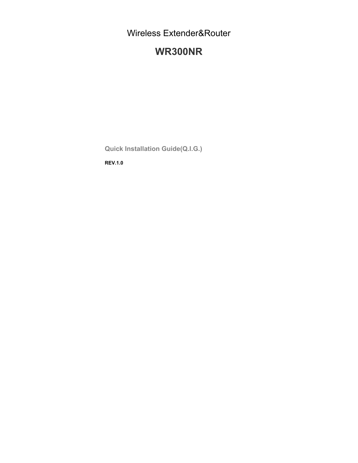Wireless Extender&Router

# **WR300NR**

**Quick Installation Guide(Q.I.G.)** 

**REV.1.0**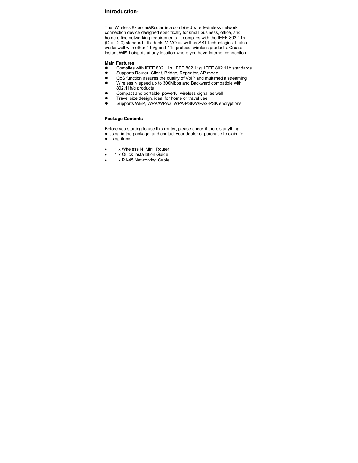# **Introduction**:

The Wireless Extender&Router is a combined wired/wireless network connection device designed specifically for small business, office, and home office networking requirements. It complies with the IEEE 802.11n (Draft 2.0) standard. It adopts MIMO as well as SST technologies. It also works well with other 11b/g and 11n protocol wireless products. Create instant WiFi hotspots at any location where you have Internet connection .

#### **Main Features**

- Complies with IEEE 802.11n, IEEE 802.11g, IEEE 802.11b standards<br>● Supports Router Client Bridge, Repeater, AP mode
- � Supports Router, Client, Bridge, Repeater, AP mode
- $\bullet$  QoS function assures the quality of VoIP and multimedia streaming � Wireless N speed up to 300Mbps and Backward compatible with
- 802.11b/g products
- � Compact and portable, powerful wireless signal as well
- **•** Travel size design, ideal for home or travel use<br>• Supports WED WRAMPA2 WRA-PSK/MRA2
- Supports WEP, WPA/WPA2, WPA-PSK/WPA2-PSK encryptions

#### **Package Contents**

Before you starting to use this router, please check if there's anything missing in the package, and contact your dealer of purchase to claim for missing items:

- 1 x Wireless N Mini Router
- 1 x Quick Installation Guide
- 1 x RJ-45 Networking Cable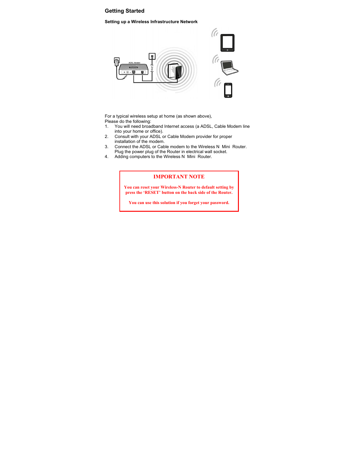## **Getting Started**

#### **Setting up a Wireless Infrastructure Network**



For a typical wireless setup at home (as shown above), Please do the following:<br>1. You will need broad

- You will need broadband Internet access (a ADSL, Cable Modem line into your home or office).
- 2. Consult with your ADSL or Cable Modem provider for proper installation of the modem.
- 3. Connect the ADSL or Cable modem to the Wireless N Mini Router. Plug the power plug of the Router in electrical wall socket.
- 4. Adding computers to the Wireless N Mini Router.

## **IMPORTANT NOTE**

**You can reset your Wireless-N Router to default setting by press the 'RESET' button on the back side of the Router.** 

**You can use this solution if you forget your password.**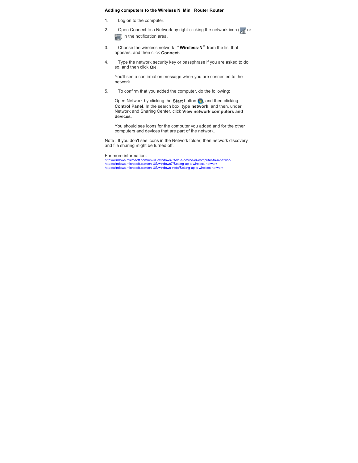#### **Adding computers to the Wireless N Mini Router Router**

- 1. Log on to the computer.
- 2. Open Connect to a Network by right-clicking the network icon  $\left(\begin{matrix} 1 & 0 \\ 0 & 0 \end{matrix}\right)$  or  $\left(\begin{matrix} 0 \\ 1 \end{matrix}\right)$  in the notification area.
- 3. Choose the wireless network "Wireless-N" from the list that appears, and then click **Connect**.
- 4. Type the network security key or passphrase if you are asked to do so, and then click **OK**.

You'll see a confirmation message when you are connected to the network.

5. To confirm that you added the computer, do the following:

Open Network by clicking the **Start** button **(3)**, and then clicking **Control Panel**. In the search box, type **network**, and then, under Network and Sharing Center, click **View network computers and devices**.

You should see icons for the computer you added and for the other computers and devices that are part of the network.

Note : If you don't see icons in the Network folder, then network discovery and file sharing might be turned off.

For more information:

http://windows.microsoft.com/en-US/windows7/Add-a-device-or-computer-to-a-network<br>http://windows.microsoft.com/en-US/windows7/Setting-up-a-wireless-network<br>http://windows.microsoft.com/en-US/windows-vista/Setting-up-a-wire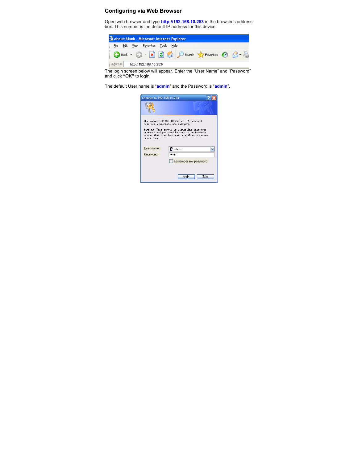# **Configuring via Web Browser**

Open web browser and type **http://192.168.10.253** in the browser's address box. This number is the default IP address for this device.



The login screen below will appear. Enter the "User Name" and "Password" and click **"OK"** to login.

The default User name is "**admin**" and the Password is "**admin**".

|              | Connect to 192.168.10.253                                                                                                                                                                                                        |
|--------------|----------------------------------------------------------------------------------------------------------------------------------------------------------------------------------------------------------------------------------|
|              |                                                                                                                                                                                                                                  |
| connection). | The server 192.168.10.253 at . "Wireless-N<br>requires a username and password.<br>Warning: This server is requesting that your<br>username and password be sent in an insecure<br>manner (basic authentication without a secure |
|              |                                                                                                                                                                                                                                  |
| User name:   | 2 admin                                                                                                                                                                                                                          |
| Password:    | *****                                                                                                                                                                                                                            |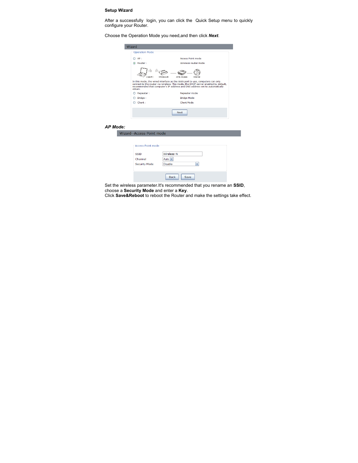## **Setup Wizard**

After a successfully login, you can click the Quick Setup menu to quickly configure your Router.

Choose the Operation Mode you need,and then click *Next*.

|                 | Wizard                          |                                                                                                                                                                                                                                                   |
|-----------------|---------------------------------|---------------------------------------------------------------------------------------------------------------------------------------------------------------------------------------------------------------------------------------------------|
|                 | <b>Operation Mode</b>           |                                                                                                                                                                                                                                                   |
|                 | $O$ AP:                         | <b>Access Point mode</b>                                                                                                                                                                                                                          |
|                 | ⊙ Router:                       | Wireless router mode                                                                                                                                                                                                                              |
|                 | aN<br>Jaer-P.C                  | Wireless-N<br>xDSL Modern<br>Internet                                                                                                                                                                                                             |
|                 | obtain.                         | In this mode, the wired interface as the WAN port to use, computers can only<br>connect to the router via wireless. This mode, the DHCP server enabled by default,<br>recommended that computer's IP address and DNS address set to automatically |
|                 | O Repeater:                     | Repeater mode                                                                                                                                                                                                                                     |
|                 | $O$ Bridge:                     | <b>Bridge Mode</b>                                                                                                                                                                                                                                |
|                 | $\bigcirc$ Client :             | <b>Client Mode</b>                                                                                                                                                                                                                                |
|                 |                                 | <b>Next</b>                                                                                                                                                                                                                                       |
| <b>AP Mode:</b> |                                 |                                                                                                                                                                                                                                                   |
|                 | Wizard--Access Point mode       |                                                                                                                                                                                                                                                   |
|                 |                                 |                                                                                                                                                                                                                                                   |
|                 | Access Point mode               |                                                                                                                                                                                                                                                   |
|                 | <b>SSID</b>                     | Wireless-N                                                                                                                                                                                                                                        |
|                 | Channel                         | Auto $\vee$                                                                                                                                                                                                                                       |
|                 | <b>Security Mode</b>            | <b>Disable</b><br>v                                                                                                                                                                                                                               |
|                 |                                 | <b>Back</b><br>Save                                                                                                                                                                                                                               |
|                 | Cat the wiseless nessenates the | ورجرد فحماله احم                                                                                                                                                                                                                                  |

Set the wireless parameter.It's recommended that you rename an **SSID**, choose a **Security Mode** and enter a **Key**.

Click **Save&Reboot** to reboot the Router and make the settings take effect.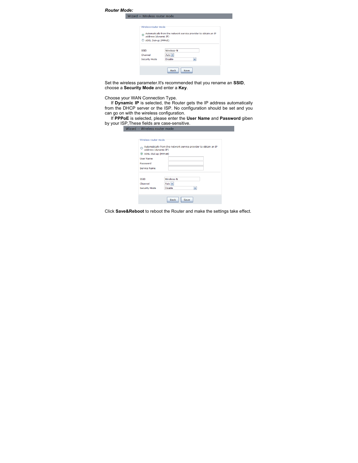| <b>Router Mode:</b> |                                        |                                                                 |
|---------------------|----------------------------------------|-----------------------------------------------------------------|
|                     | Wizard -- Wireless router mode         |                                                                 |
|                     |                                        |                                                                 |
|                     | Wireless router mode                   |                                                                 |
|                     | $\circledcirc$<br>address (dynamic IP) | Automatically from the network service provider to obtain an IP |
|                     | ADSL Dial-up (PPPoE)                   |                                                                 |
|                     | <b>SSID</b>                            | Wireless-N                                                      |
|                     | Channel                                | Auto $\vee$                                                     |
|                     | <b>Security Mode</b>                   | <b>Disable</b><br>v                                             |
|                     |                                        |                                                                 |
|                     |                                        | <b>Back</b><br>Save                                             |
|                     |                                        |                                                                 |

Set the wireless parameter.It's recommended that you rename an **SSID**, choose a **Security Mode** and enter a **Key**.

Choose your WAN Connection Type.

 If **Dynamic IP** is selected, the Router gets the IP address automatically from the DHCP server or the ISP. No configuration should be set and you can go on with the wireless configuration.

 If **PPPoE** is selected, please enter the **User Name** and **Password** giben by your ISP,These fields are case-sensitive.

| Wizard -- Wireless router mode     |                                                                 |
|------------------------------------|-----------------------------------------------------------------|
|                                    |                                                                 |
| Wireless router mode:              |                                                                 |
| $\bigcirc$<br>address (dynamic IP) | Automatically from the network service provider to obtain an IP |
| ADSL Dial-up (PPPoE)               |                                                                 |
| <b>User Name</b>                   |                                                                 |
| Password                           |                                                                 |
| <b>Service Name</b>                |                                                                 |
|                                    |                                                                 |
| <b>SSID</b>                        | Wireless-N                                                      |
| Channel                            | Auto $\vee$                                                     |
| <b>Security Mode</b>               | <b>Disable</b><br>$\checkmark$                                  |
|                                    |                                                                 |
|                                    | <b>Back</b><br>Save                                             |

Click **Save&Reboot** to reboot the Router and make the settings take effect.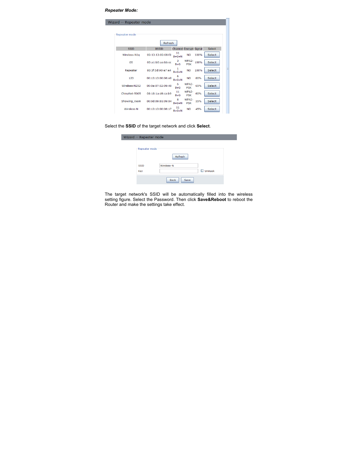#### *Repeater Mode:*

| Wizard -- Repeater mode |                   |                               |                     |      |               |  |
|-------------------------|-------------------|-------------------------------|---------------------|------|---------------|--|
|                         |                   |                               |                     |      |               |  |
| Repeater mode           |                   |                               |                     |      |               |  |
|                         | Refresh           |                               |                     |      |               |  |
| <b>SSID</b>             | <b>BSSID</b>      | <b>Channel Encrypt Signal</b> |                     |      | Select        |  |
| Wireless-N1q            | 00:13:13:00:08:f3 | 11<br>$B + G + N$             | <b>NO</b>           | 100% | Select        |  |
| <b>GS</b>               | 00:a1:b0:aa:bb:cc | 3<br>$B + G$                  | WPA2-<br><b>PSK</b> | 100% | Select        |  |
| Repeater                | 80:3f:5d:90:e7:e4 | $B+G+N$                       | <b>NO</b>           | 100% | <b>Select</b> |  |
| 123                     | 00:13:13:00:06:e0 | 6<br>$B+G+N$                  | <b>NO</b>           | 80%  | <b>Select</b> |  |
| Wireless-N252           | 00:0a:07:52:09:40 | 6<br>$B + G$                  | WPA2-<br><b>PSK</b> | 65%  | <b>Select</b> |  |
| ChinaNet-5005           | 08:18:1a:d6:ca:b9 | 11<br>$B + G$                 | WPA2-<br><b>PSK</b> | 60%  | <b>Select</b> |  |
| Showing room            | 00:0d:09:81:09:04 | 8<br>$B+G+N$                  | WPA2-<br><b>PSK</b> | 55%  | Select        |  |
| Wireless-N              | 00:13:13:00:06:17 | 11<br>$B+G+N$                 | <b>NO</b>           | 45%  | <b>Select</b> |  |

# Select the **SSID** of the target network and click **Select**.

| Wizard -- Repeater mode |                     |               |  |
|-------------------------|---------------------|---------------|--|
| Repeater mode           |                     |               |  |
|                         | <b>Refresh</b>      |               |  |
| <b>SSID</b>             | Wireless-N          |               |  |
| Key                     |                     | $\Box$ Unmask |  |
|                         | <b>Back</b><br>Save |               |  |

The target network's SSID will be automatically filled into the wireless setting figure. Select the Password. Then click **Save&Reboot** to reboot the Router and make the settings take effect.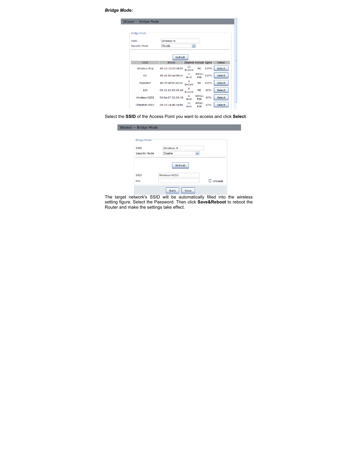*Bridge Mode:* 

| Wizard -- Bridge Mode |                   |                        |                     |      |        |
|-----------------------|-------------------|------------------------|---------------------|------|--------|
| <b>Bridge Mode</b>    |                   |                        |                     |      |        |
|                       |                   |                        |                     |      |        |
| SSID                  | Wireless-N        |                        |                     |      |        |
| <b>Security Mode</b>  | <b>Disable</b>    | M                      |                     |      |        |
|                       |                   |                        |                     |      |        |
|                       | Refresh           |                        |                     |      |        |
| <b>SSID</b>           | <b>BSSID</b>      | Channel Encrypt Signal |                     |      | Select |
| Wireless-N1q          | 00:13:13:00:08:f3 | 11<br>$B+G+N$          | <b>NO</b>           | 100% | Select |
| GS                    | 00:a1:b0:aa:bb:cc | з<br>$B + G$           | WPA2-<br><b>PSK</b> | 100% | Select |
| Repeater              | 80:3f:5d:90:e8:92 | $B+G+N$                | <b>NO</b>           | 100% | Select |
| 123                   | 00:13:13:00:06:e0 | 6<br>$B+G+N$           | <b>NO</b>           | 80%  | Select |
| Wireless-N252         | 00:0a:07:52:09:40 | 6<br>$B + G$           | WPA2-<br><b>PSK</b> | 60%  | Select |
| ChinaNet-5005         | 08:18:1a:d6:ca:b9 | 11<br>$B + G$          | WPA2-<br><b>PSK</b> | 45%  | Select |

Select the **SSID** of the Access Point you want to access and click **Select**.

| Wizard -- Bridge Mode |                     |               |  |
|-----------------------|---------------------|---------------|--|
| Bridge Mode           |                     |               |  |
|                       |                     |               |  |
| <b>SSID</b>           | Wireless-N          |               |  |
| <b>Security Mode</b>  | <b>Disable</b><br>M |               |  |
|                       | <b>Refresh</b>      |               |  |
| <b>SSID</b>           | Wireless-N252       |               |  |
| Key                   |                     | $\Box$ Unmask |  |
|                       | <b>Back</b><br>Save |               |  |

The target network's SSID will be automatically filled into the wireless setting figure. Select the Password. Then click **Save&Reboot** to reboot the Router and make the settings take effect.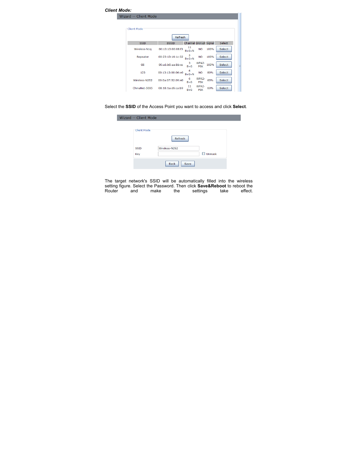

Select the **SSID** of the Access Point you want to access and click **Select**.

| Wizard -- Client Mode |                            |               |  |
|-----------------------|----------------------------|---------------|--|
| Client Mode           |                            |               |  |
|                       | Refresh                    |               |  |
| <b>SSID</b>           | Wireless-N252              |               |  |
| Key                   |                            | $\Box$ Unmask |  |
|                       | <b>Back</b><br><b>Save</b> |               |  |

The target network's SSID will be automatically filled into the wireless setting figure. Select the Password. Then click **Save&Reboot** to reboot the Router and make the settings take effect.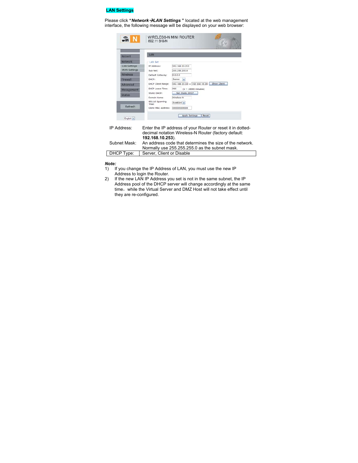# **LAN Settings**

Please click **"***Network*�*LAN Settings* **"** located at the web management interface, the following message will be displayed on your web browser:



- *Note:*
- 1) If you change the IP Address of LAN, you must use the new IP Address to login the Router.
- 2) If the new LAN IP Address you set is not in the same subnet, the IP Address pool of the DHCP server will change accordingly at the same time, while the Virtual Server and DMZ Host will not take effect until they are re-configured.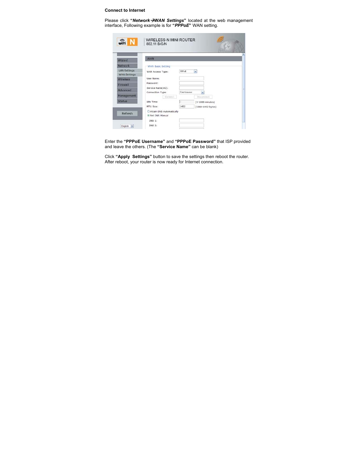#### **Connect to Internet**

Please click **"***Network*�*WAN Settings***"** located at the web management interface, Following example is for **"***PPPoE***"** WAN setting.

|                     | <b>WAN</b>                |                    |                          |  |
|---------------------|---------------------------|--------------------|--------------------------|--|
| Wizard              |                           |                    |                          |  |
| Network             | <b>WAN Basic Setting</b>  |                    |                          |  |
| <b>LAN Settings</b> | WAN Access Type:          | PPP <sub>o</sub> F | $\tilde{\phantom{a}}$    |  |
| <b>WAN Settings</b> |                           |                    |                          |  |
| <b>Wireless</b>     | User Name:                |                    |                          |  |
| Firewall            | Password:                 |                    |                          |  |
| Advanced            | Service Name(AC):         |                    |                          |  |
| Management          | Connection Type:          | Continuour         | $\overline{\phantom{0}}$ |  |
|                     | Connect                   |                    | Disconnect               |  |
| <b>Status</b>       | Idle Time:                | İs                 | $(1-1000$ minutes)       |  |
|                     | MTU Size:                 | 1452               | $(1360 - 1492$ bytes)    |  |
| Refresh             | CAttain DNS Automatically |                    |                          |  |
|                     | Set DNS Manual            |                    |                          |  |
|                     | DNS 1:                    |                    |                          |  |
| English<br>×        | <b>DNS 2:</b>             |                    |                          |  |

Enter the **"PPPoE Username"** and **"PPPoE Password"** that ISP provided and leave the others. (The **"Service Name"** can be blank)

Click **"Apply Settings"** button to save the settings then reboot the router. After reboot, your router is now ready for Internet connection.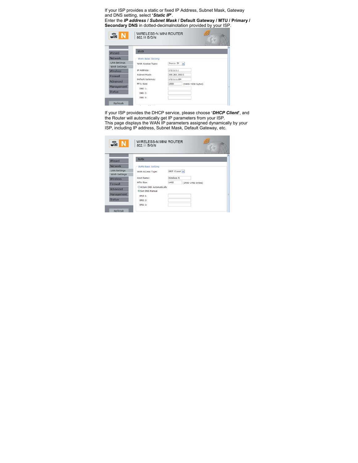If your ISP provides a static or fixed IP Address, Subnet Mask, Gateway and DNS setting, select **'***Static IP***'**.

Enter the *IP address* **/** *Subnet Mask* **/ Default Gateway / MTU / Primary / Secondary DNS** in dotted-decimalnotation provided by your ISP.

| $\widehat{\mathbb{G}}$ n N                 | 802.11 B/G/N      |                     |                       |
|--------------------------------------------|-------------------|---------------------|-----------------------|
| Wizard                                     | <b>WAN</b>        |                     |                       |
| Network                                    | WAN Basic Setting |                     |                       |
| <b>LAN Settings</b><br><b>WAN Settings</b> | WAN Access Type:  | Static IP<br>$\sim$ |                       |
| <b>Wireless</b>                            | IP Address:       | 172.1.1.1           |                       |
| Firewall                                   | Subnet Mask:      | 255.255.255.0       |                       |
| Advanced                                   | Default Gateway:  | 172.1.1.254         |                       |
|                                            | MTU Size:         | 1500                | $(1400 - 1500$ bytes) |
| Management                                 | <b>DNS 1:</b>     |                     |                       |
| <b>Status</b>                              | DNS 2:            |                     |                       |
|                                            | DNS 3:            |                     |                       |

If your ISP provides the DHCP service, please choose **'***DHCP Client***'**, and the Router will automatically get IP parameters from your ISP. This page displays the WAN IP parameters assigned dynamically by your ISP, including IP address, Subnet Mask, Default Gateway, etc.

| Wizard                                     | <b>WAN</b>                                   |             |                       |  |
|--------------------------------------------|----------------------------------------------|-------------|-----------------------|--|
| <b>Network</b>                             | WAN Basic Setting                            |             |                       |  |
| <b>LAN Settings</b><br><b>WAN Settings</b> | WAN Access Type:                             | DHCP Client |                       |  |
| Wireless                                   | Host Name:                                   | Wireless-N  |                       |  |
| Firewall                                   | MTU Size:                                    | 1492        | $(1400 - 1492$ bytes) |  |
| Advanced                                   | O Attain DNS Automatically<br>Set DNS Manual |             |                       |  |
| Management                                 | DNS 1:                                       |             |                       |  |
| <b>Status</b>                              | DNS 2:                                       |             |                       |  |
|                                            | DNS 3:                                       |             |                       |  |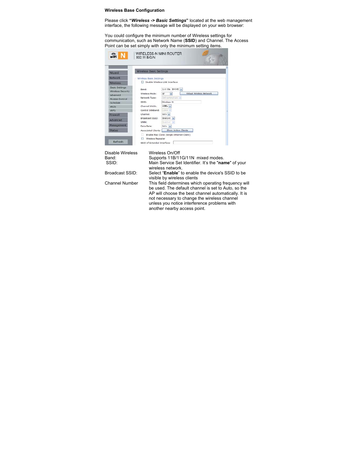#### **Wireless Base Configuration**

Please click **"***Wireless -> Basic Settings***"** located at the web management interface, the following message will be displayed on your web browser:

You could configure the minimum number of Wireless settings for communication, such as Network Name (**SSID**) and Channel. The Access Point can be set simply with only the minimum setting items.

| Wizard                                            | <b>Wireless Basic Settings</b>    |                                |                          |  |
|---------------------------------------------------|-----------------------------------|--------------------------------|--------------------------|--|
| Network                                           | <b>Wireless Basic Settings</b>    |                                |                          |  |
| <b>Wireless</b>                                   | Disable Wireless LAN Interface    |                                |                          |  |
| <b>Basic Settings</b><br><b>Wireless Security</b> | Band:                             | 2.4 GHz (B+G+N) M              |                          |  |
| advanced                                          | Wireless Mode:                    | AP<br>$\overline{\phantom{a}}$ | Virtual Wireless Network |  |
| <b>Access Control</b>                             | Infrastructure ><br>Network Type: |                                |                          |  |
| Schedule                                          | ssin:                             | Wireless-N                     |                          |  |
| <b>WDS</b>                                        | Channel Width:                    | $40001x$ $\sim$                |                          |  |
| <b>WPS</b>                                        | Control Sideband:                 | Lower w                        |                          |  |
| Firewall                                          | Channel:                          | Auto M                         |                          |  |
| Advanced                                          | Broadcast SSID:                   | Enabled v                      |                          |  |
| Management                                        | WMM:                              | Enabled                        |                          |  |
| <b>Status</b>                                     | Data Rate:                        | Auto v<br>Show Active Clients  |                          |  |

#### Disable Wireless Wireless On/Off<br>Band: Supports 11B/11 Band: Supports 11B/11G/11N mixed modes. SSID: Main Service Set Identifier. It's the "**name**" of your wireless network. Broadcast SSID: Select "**Enable**" to enable the device's SSID to be visible by wireless clients Channel Number This field determines which operating frequency will be used. The default channel is set to Auto, so the AP will choose the best channel automatically. It is not necessary to change the wireless channel unless you notice interference problems with another nearby access point.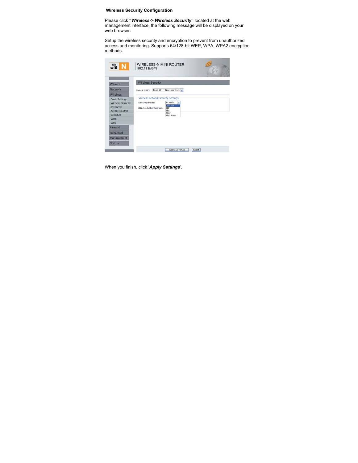**Wireless Security Configuration** 

Please click **"***Wireless-> Wireless Security***"** located at the web management interface, the following message will be displayed on your web browser:

Setup the wireless security and encryption to prevent from unauthorized access and monitoring. Supports 64/128-bit WEP, WPA, WPA2 encryption methods.



When you finish, click '*Apply Settings*'.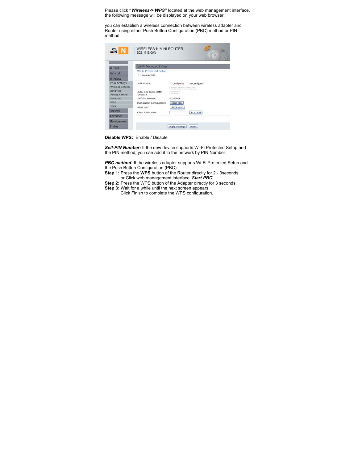Please click **"***Wireless-> WPS***"** located at the web management interface, the following message will be displayed on your web browser:

you can establish a wireless connection between wireless adapter and Router using either Push Button Configuration (PBC) method or PIN method.



**Disable WPS:** Enable / Disable

*Self-PIN Number:* If the new device supports Wi-Fi Protected Setup and the PIN method, you can add it to the network by PIN Number.

*PBC method:* If the wireless adapter supports Wi-Fi Protected Setup and the Push Button Configuration (PBC)

**Step 1:** Press the **WPS** button of the Router directly for 2 - 3seconds or Click web management interface '*Start PBC*'.

**Step 2:** Press the WPS button of the Adapter directly for 3 seconds.

**Step 3:** Wait for a while until the next screen appears.

Click Finish to complete the WPS configuration.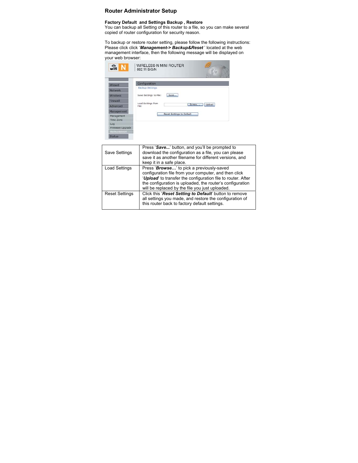#### **Router Administrator Setup**

## **Factory Default and Settings Backup , Restore**

You can backup all Setting of this router to a file, so you can make several copied of router configuration for security reason.

To backup or restore router setting, please follow the following instructions: Please click click '*Management-> Backup&Reset* ' located at the web management interface, then the following message will be displayed on your web browser:



this router back to factory default settings.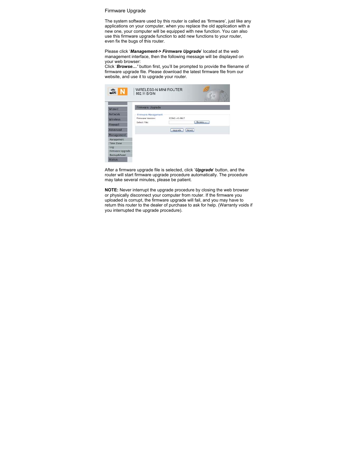#### Firmware Upgrade

The system software used by this router is called as 'firmware', just like any applications on your computer, when you replace the old application with a new one, your computer will be equipped with new function. You can also use this firmware upgrade function to add new functions to your router, even fix the bugs of this router.

Please click '*Management-> Firmware Upgrade*' located at the web management interface, then the following message will be displayed on your web browser:

Click '*Browse…'* button first, you'll be prompted to provide the filename of firmware upgrade file. Please download the latest firmware file from our website, and use it to upgrade your router.

| Wizard                  | Firmware Upgrade    |                  |  |  |
|-------------------------|---------------------|------------------|--|--|
| Network                 | Firmware Management |                  |  |  |
| <b>Wireless</b>         | Firmware Version:   | 523N2.v5.0817    |  |  |
| Firewall                | Select File:        | Drowse           |  |  |
| Advanced                |                     | Upgrade<br>Reset |  |  |
| Management              |                     |                  |  |  |
| Management              |                     |                  |  |  |
| Time Zone               |                     |                  |  |  |
| Log                     |                     |                  |  |  |
| Firmware Upgrade        |                     |                  |  |  |
| <b>Backup&amp;Reset</b> |                     |                  |  |  |
| <b>Status</b>           |                     |                  |  |  |

After a firmware upgrade file is selected, click '*Upgrade*' button, and the router will start firmware upgrade procedure automatically. The procedure may take several minutes, please be patient.

**NOTE:** Never interrupt the upgrade procedure by closing the web browser or physically disconnect your computer from router. If the firmware you uploaded is corrupt, the firmware upgrade will fail, and you may have to return this router to the dealer of purchase to ask for help. (Warranty voids if you interrupted the upgrade procedure).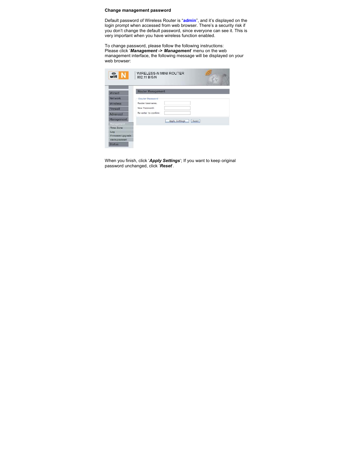#### **Change management password**

Default password of Wireless Router is "**admin**", and it's displayed on the login prompt when accessed from web browser. There's a security risk if you don't change the default password, since everyone can see it. This is very important when you have wireless function enabled.

To change password, please follow the following instructions: Please click '*Management -> Management*' menu on the web management interface, the following message will be displayed on your web browser:

| $\sqrt{\hat{m}}$ N | WIRELESS-N MINI ROUTER<br>802.11 B/G/N |                                |  |
|--------------------|----------------------------------------|--------------------------------|--|
| Wizard             | <b>Router Management</b>               |                                |  |
| Network            | Router Password                        |                                |  |
| <b>Wireless</b>    | Router Username:                       |                                |  |
| Firewall           | New Password:                          |                                |  |
| <b>Advanced</b>    | Re-enter to confirm:                   |                                |  |
| Management         |                                        |                                |  |
| Management         |                                        | Reset<br><b>Apply Settings</b> |  |
| Time Zone          |                                        |                                |  |
| Log                |                                        |                                |  |
| Firmware Upgrade   |                                        |                                |  |
| Backup&Reset       |                                        |                                |  |
| <b>Status</b>      |                                        |                                |  |

When you finish, click '*Apply Settings*'; If you want to keep original password unchanged, click '*Reset*'.